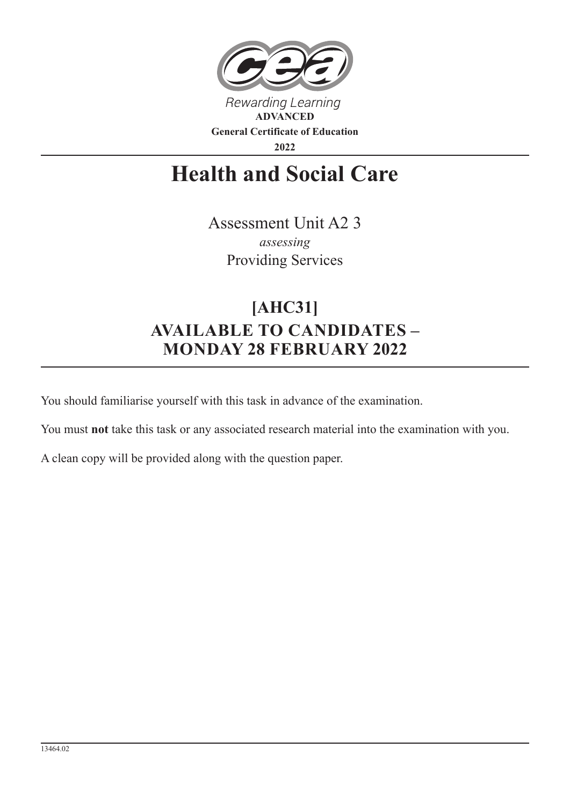

## **Health and Social Care**

Assessment Unit A2 3 *assessing* Providing Services

## **[AHC31] AVAILABLE TO CANDIDATES – MONDAY 28 FEBRUARY 2022**

You should familiarise yourself with this task in advance of the examination.

You must **not** take this task or any associated research material into the examination with you.

A clean copy will be provided along with the question paper.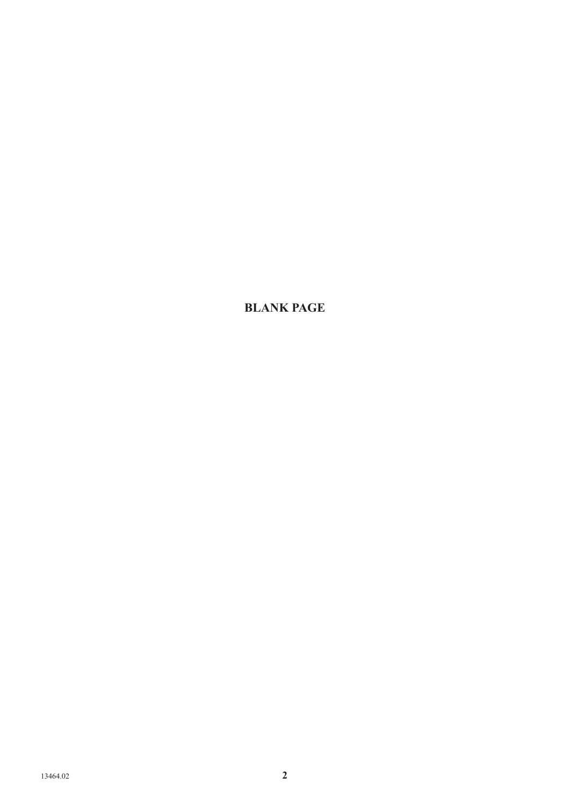**BLANK PAGE**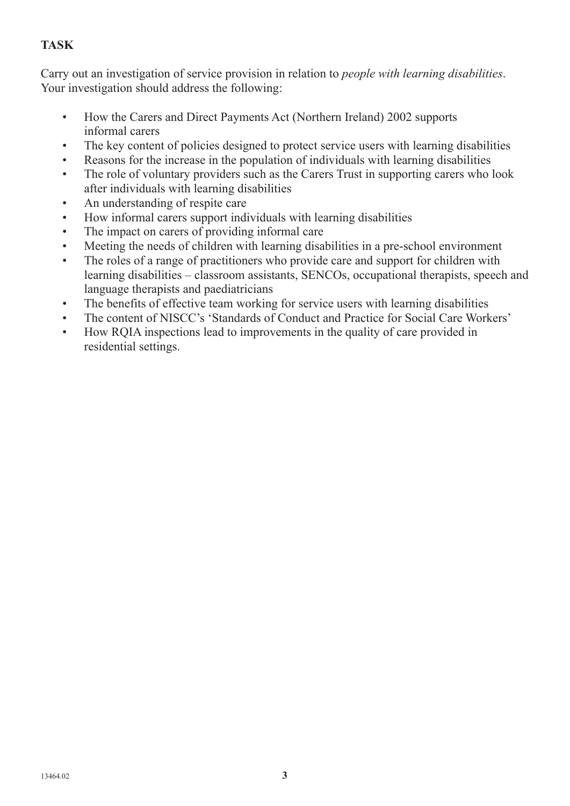## **TASK**

Carry out an investigation of service provision in relation to *people with learning disabilities*. Your investigation should address the following:

- How the Carers and Direct Payments Act (Northern Ireland) 2002 supports informal carers
- The key content of policies designed to protect service users with learning disabilities
- Reasons for the increase in the population of individuals with learning disabilities
- The role of voluntary providers such as the Carers Trust in supporting carers who look after individuals with learning disabilities
- An understanding of respite care
- How informal carers support individuals with learning disabilities
- The impact on carers of providing informal care
- Meeting the needs of children with learning disabilities in a pre-school environment
- The roles of a range of practitioners who provide care and support for children with learning disabilities – classroom assistants, SENCOs, occupational therapists, speech and language therapists and paediatricians
- The benefits of effective team working for service users with learning disabilities
- The content of NISCC's 'Standards of Conduct and Practice for Social Care Workers'
- How RQIA inspections lead to improvements in the quality of care provided in residential settings.